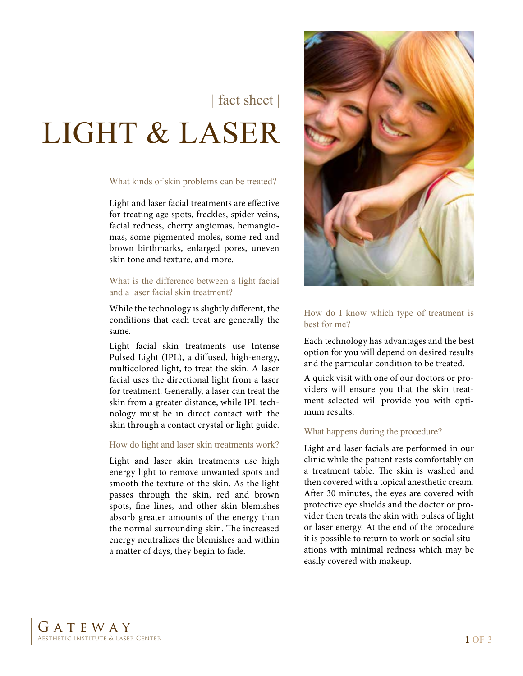# | fact sheet |

# LIGHT & LASER

#### What kinds of skin problems can be treated?

Light and laser facial treatments are effective for treating age spots, freckles, spider veins, facial redness, cherry angiomas, hemangiomas, some pigmented moles, some red and brown birthmarks, enlarged pores, uneven skin tone and texture, and more.

### What is the difference between a light facial and a laser facial skin treatment?

While the technology is slightly different, the conditions that each treat are generally the same.

Light facial skin treatments use Intense Pulsed Light (IPL), a diffused, high-energy, multicolored light, to treat the skin. A laser facial uses the directional light from a laser for treatment. Generally, a laser can treat the skin from a greater distance, while IPL technology must be in direct contact with the skin through a contact crystal or light guide.

#### How do light and laser skin treatments work?

Light and laser skin treatments use high energy light to remove unwanted spots and smooth the texture of the skin. As the light passes through the skin, red and brown spots, fine lines, and other skin blemishes absorb greater amounts of the energy than the normal surrounding skin. The increased energy neutralizes the blemishes and within a matter of days, they begin to fade.



# How do I know which type of treatment is best for me?

Each technology has advantages and the best option for you will depend on desired results and the particular condition to be treated.

A quick visit with one of our doctors or providers will ensure you that the skin treatment selected will provide you with optimum results.

# What happens during the procedure?

Light and laser facials are performed in our clinic while the patient rests comfortably on a treatment table. The skin is washed and then covered with a topical anesthetic cream. After 30 minutes, the eyes are covered with protective eye shields and the doctor or provider then treats the skin with pulses of light or laser energy. At the end of the procedure it is possible to return to work or social situations with minimal redness which may be easily covered with makeup.

G A T E W A Y Aesthetic Institute & Laser Center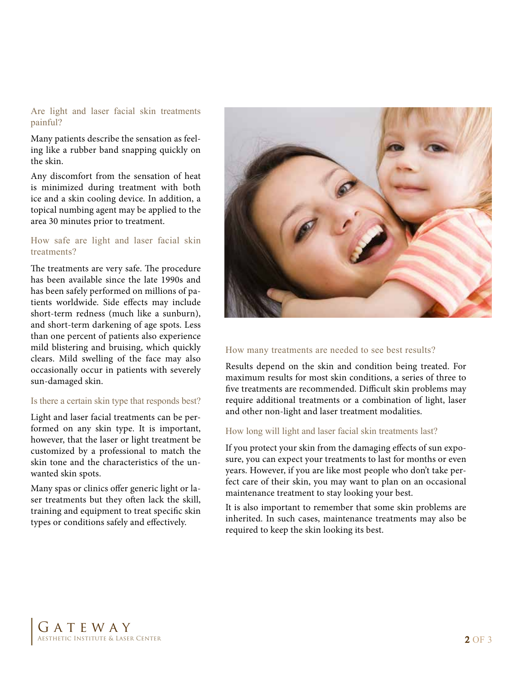### Are light and laser facial skin treatments painful?

Many patients describe the sensation as feeling like a rubber band snapping quickly on the skin.

Any discomfort from the sensation of heat is minimized during treatment with both ice and a skin cooling device. In addition, a topical numbing agent may be applied to the area 30 minutes prior to treatment.

# How safe are light and laser facial skin treatments?

The treatments are very safe. The procedure has been available since the late 1990s and has been safely performed on millions of patients worldwide. Side effects may include short-term redness (much like a sunburn), and short-term darkening of age spots. Less than one percent of patients also experience mild blistering and bruising, which quickly clears. Mild swelling of the face may also occasionally occur in patients with severely sun-damaged skin.

# Is there a certain skin type that responds best?

Light and laser facial treatments can be performed on any skin type. It is important, however, that the laser or light treatment be customized by a professional to match the skin tone and the characteristics of the unwanted skin spots.

Many spas or clinics offer generic light or laser treatments but they often lack the skill, training and equipment to treat specific skin types or conditions safely and effectively.



# How many treatments are needed to see best results?

Results depend on the skin and condition being treated. For maximum results for most skin conditions, a series of three to five treatments are recommended. Difficult skin problems may require additional treatments or a combination of light, laser and other non-light and laser treatment modalities.

# How long will light and laser facial skin treatments last?

If you protect your skin from the damaging effects of sun exposure, you can expect your treatments to last for months or even years. However, if you are like most people who don't take perfect care of their skin, you may want to plan on an occasional maintenance treatment to stay looking your best.

It is also important to remember that some skin problems are inherited. In such cases, maintenance treatments may also be required to keep the skin looking its best.

G A T E W A Y Aesthetic Institute & Laser Center